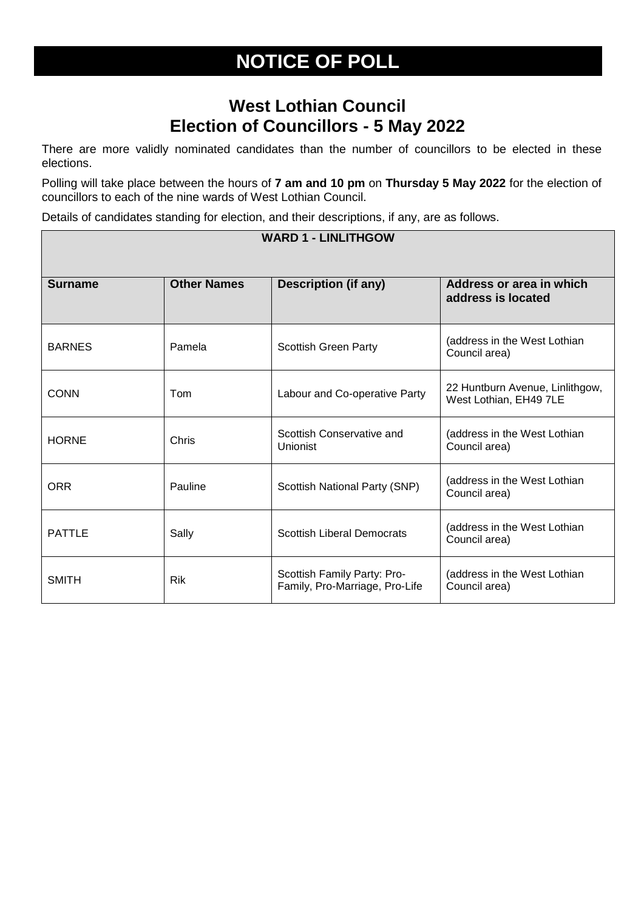## **NOTICE OF POLL**

## **West Lothian Council Election of Councillors - 5 May 2022**

There are more validly nominated candidates than the number of councillors to be elected in these elections.

Polling will take place between the hours of **7 am and 10 pm** on **Thursday 5 May 2022** for the election of councillors to each of the nine wards of West Lothian Council.

Details of candidates standing for election, and their descriptions, if any, are as follows.

| <b>WARD 1 - LINLITHGOW</b> |                    |                                                               |                                                           |  |  |
|----------------------------|--------------------|---------------------------------------------------------------|-----------------------------------------------------------|--|--|
|                            |                    |                                                               |                                                           |  |  |
| <b>Surname</b>             | <b>Other Names</b> | <b>Description (if any)</b>                                   | Address or area in which<br>address is located            |  |  |
| <b>BARNES</b>              | Pamela             | <b>Scottish Green Party</b>                                   | (address in the West Lothian<br>Council area)             |  |  |
| <b>CONN</b>                | Tom                | Labour and Co-operative Party                                 | 22 Huntburn Avenue, Linlithgow,<br>West Lothian, EH49 7LE |  |  |
| <b>HORNE</b>               | Chris              | Scottish Conservative and<br>Unionist                         | (address in the West Lothian<br>Council area)             |  |  |
| <b>ORR</b>                 | Pauline            | Scottish National Party (SNP)                                 | (address in the West Lothian<br>Council area)             |  |  |
| <b>PATTLE</b>              | Sally              | <b>Scottish Liberal Democrats</b>                             | (address in the West Lothian<br>Council area)             |  |  |
| <b>SMITH</b>               | <b>Rik</b>         | Scottish Family Party: Pro-<br>Family, Pro-Marriage, Pro-Life | (address in the West Lothian<br>Council area)             |  |  |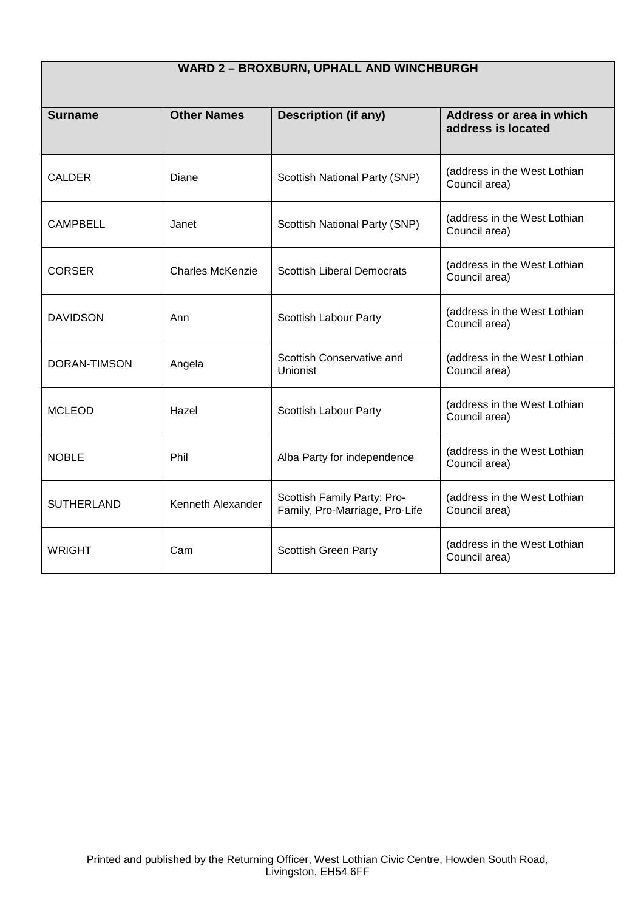| WARD 2 - BROXBURN, UPHALL AND WINCHBURGH |                         |                                                               |                                                |  |
|------------------------------------------|-------------------------|---------------------------------------------------------------|------------------------------------------------|--|
| <b>Surname</b>                           | <b>Other Names</b>      | <b>Description (if any)</b>                                   | Address or area in which<br>address is located |  |
| <b>CALDER</b>                            | Diane                   | Scottish National Party (SNP)                                 | (address in the West Lothian<br>Council area)  |  |
| <b>CAMPBELL</b>                          | Janet                   | Scottish National Party (SNP)                                 | (address in the West Lothian<br>Council area)  |  |
| <b>CORSER</b>                            | <b>Charles McKenzie</b> | <b>Scottish Liberal Democrats</b>                             | (address in the West Lothian<br>Council area)  |  |
| <b>DAVIDSON</b>                          | Ann                     | Scottish Labour Party                                         | (address in the West Lothian<br>Council area)  |  |
| <b>DORAN-TIMSON</b>                      | Angela                  | Scottish Conservative and<br><b>Unionist</b>                  | (address in the West Lothian<br>Council area)  |  |
| <b>MCLEOD</b>                            | Hazel                   | Scottish Labour Party                                         | (address in the West Lothian<br>Council area)  |  |
| <b>NOBLE</b>                             | Phil                    | Alba Party for independence                                   | (address in the West Lothian<br>Council area)  |  |
| <b>SUTHERLAND</b>                        | Kenneth Alexander       | Scottish Family Party: Pro-<br>Family, Pro-Marriage, Pro-Life | (address in the West Lothian<br>Council area)  |  |
| <b>WRIGHT</b>                            | Cam                     | <b>Scottish Green Party</b>                                   | (address in the West Lothian<br>Council area)  |  |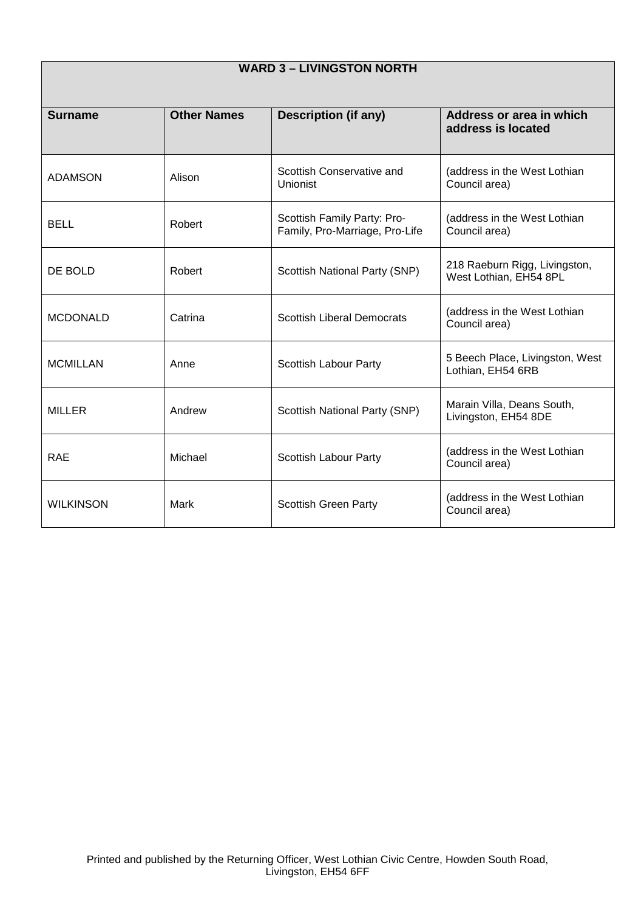| <b>WARD 3 - LIVINGSTON NORTH</b> |                    |                                                               |                                                         |
|----------------------------------|--------------------|---------------------------------------------------------------|---------------------------------------------------------|
| <b>Surname</b>                   | <b>Other Names</b> | <b>Description (if any)</b>                                   | Address or area in which<br>address is located          |
| <b>ADAMSON</b>                   | Alison             | Scottish Conservative and<br><b>Unionist</b>                  | (address in the West Lothian<br>Council area)           |
| <b>BELL</b>                      | Robert             | Scottish Family Party: Pro-<br>Family, Pro-Marriage, Pro-Life | (address in the West Lothian<br>Council area)           |
| DE BOLD                          | Robert             | Scottish National Party (SNP)                                 | 218 Raeburn Rigg, Livingston,<br>West Lothian, EH54 8PL |
| <b>MCDONALD</b>                  | Catrina            | <b>Scottish Liberal Democrats</b>                             | (address in the West Lothian<br>Council area)           |
| <b>MCMILLAN</b>                  | Anne               | Scottish Labour Party                                         | 5 Beech Place, Livingston, West<br>Lothian, EH54 6RB    |
| <b>MILLER</b>                    | Andrew             | Scottish National Party (SNP)                                 | Marain Villa, Deans South,<br>Livingston, EH54 8DE      |
| <b>RAE</b>                       | Michael            | Scottish Labour Party                                         | (address in the West Lothian<br>Council area)           |
| <b>WILKINSON</b>                 | <b>Mark</b>        | <b>Scottish Green Party</b>                                   | (address in the West Lothian<br>Council area)           |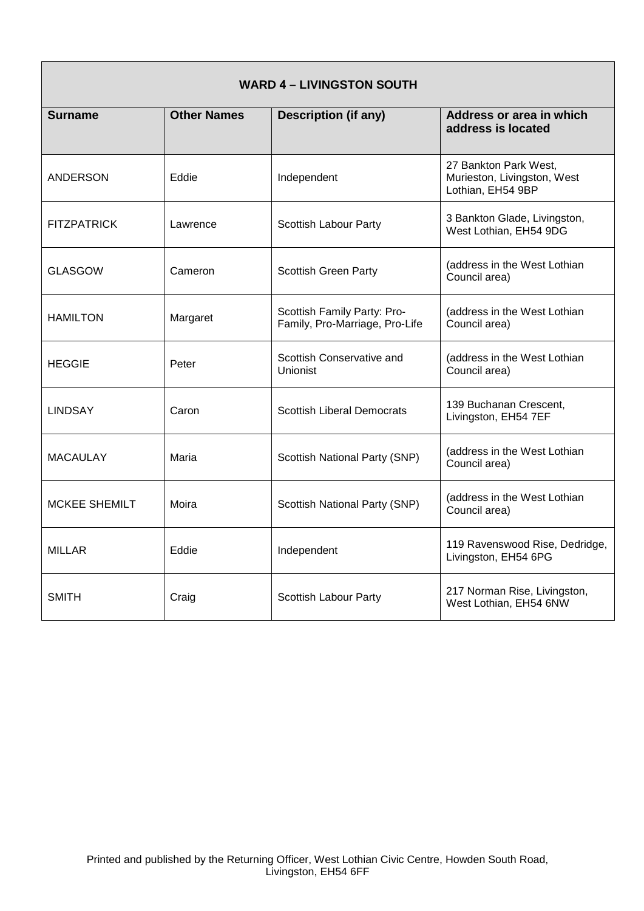| <b>WARD 4 - LIVINGSTON SOUTH</b> |                    |                                                               |                                                                           |
|----------------------------------|--------------------|---------------------------------------------------------------|---------------------------------------------------------------------------|
| <b>Surname</b>                   | <b>Other Names</b> | <b>Description (if any)</b>                                   | Address or area in which<br>address is located                            |
| ANDERSON                         | Eddie              | Independent                                                   | 27 Bankton Park West,<br>Murieston, Livingston, West<br>Lothian, EH54 9BP |
| <b>FITZPATRICK</b>               | Lawrence           | Scottish Labour Party                                         | 3 Bankton Glade, Livingston,<br>West Lothian, EH54 9DG                    |
| <b>GLASGOW</b>                   | Cameron            | <b>Scottish Green Party</b>                                   | (address in the West Lothian<br>Council area)                             |
| <b>HAMILTON</b>                  | Margaret           | Scottish Family Party: Pro-<br>Family, Pro-Marriage, Pro-Life | (address in the West Lothian<br>Council area)                             |
| <b>HEGGIE</b>                    | Peter              | Scottish Conservative and<br>Unionist                         | (address in the West Lothian<br>Council area)                             |
| <b>LINDSAY</b>                   | Caron              | <b>Scottish Liberal Democrats</b>                             | 139 Buchanan Crescent,<br>Livingston, EH54 7EF                            |
| <b>MACAULAY</b>                  | Maria              | Scottish National Party (SNP)                                 | (address in the West Lothian<br>Council area)                             |
| <b>MCKEE SHEMILT</b>             | Moira              | Scottish National Party (SNP)                                 | (address in the West Lothian<br>Council area)                             |
| <b>MILLAR</b>                    | Eddie              | Independent                                                   | 119 Ravenswood Rise, Dedridge,<br>Livingston, EH54 6PG                    |
| <b>SMITH</b>                     | Craig              | Scottish Labour Party                                         | 217 Norman Rise, Livingston,<br>West Lothian, EH54 6NW                    |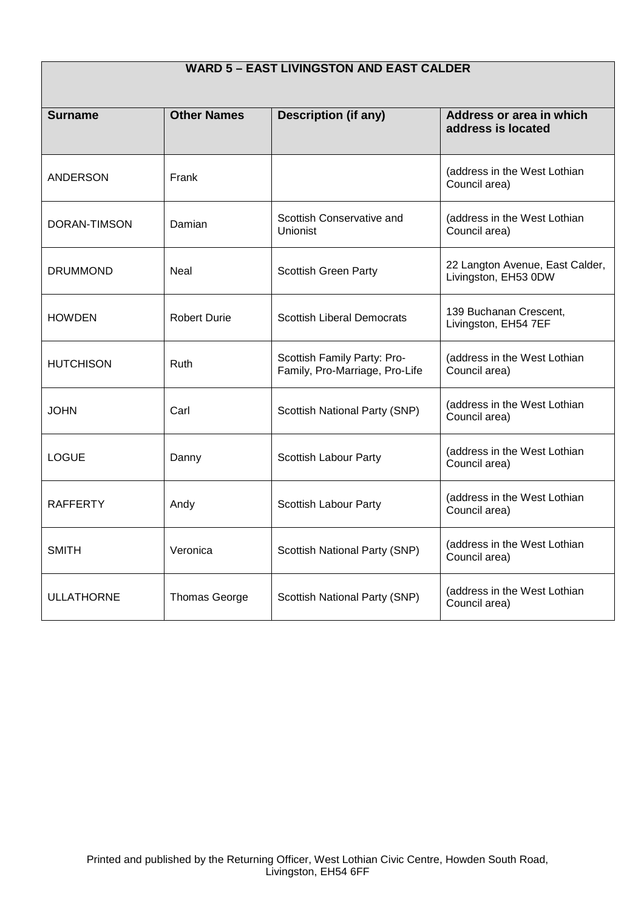| <b>WARD 5 - EAST LIVINGSTON AND EAST CALDER</b> |                      |                                                               |                                                         |
|-------------------------------------------------|----------------------|---------------------------------------------------------------|---------------------------------------------------------|
| <b>Surname</b>                                  | <b>Other Names</b>   | <b>Description (if any)</b>                                   | Address or area in which<br>address is located          |
| <b>ANDERSON</b>                                 | Frank                |                                                               | (address in the West Lothian<br>Council area)           |
| DORAN-TIMSON                                    | Damian               | Scottish Conservative and<br>Unionist                         | (address in the West Lothian<br>Council area)           |
| <b>DRUMMOND</b>                                 | Neal                 | Scottish Green Party                                          | 22 Langton Avenue, East Calder,<br>Livingston, EH53 0DW |
| <b>HOWDEN</b>                                   | <b>Robert Durie</b>  | <b>Scottish Liberal Democrats</b>                             | 139 Buchanan Crescent,<br>Livingston, EH54 7EF          |
| <b>HUTCHISON</b>                                | Ruth                 | Scottish Family Party: Pro-<br>Family, Pro-Marriage, Pro-Life | (address in the West Lothian<br>Council area)           |
| <b>JOHN</b>                                     | Carl                 | Scottish National Party (SNP)                                 | (address in the West Lothian<br>Council area)           |
| <b>LOGUE</b>                                    | Danny                | Scottish Labour Party                                         | (address in the West Lothian<br>Council area)           |
| <b>RAFFERTY</b>                                 | Andy                 | Scottish Labour Party                                         | (address in the West Lothian<br>Council area)           |
| <b>SMITH</b>                                    | Veronica             | Scottish National Party (SNP)                                 | (address in the West Lothian<br>Council area)           |
| <b>ULLATHORNE</b>                               | <b>Thomas George</b> | Scottish National Party (SNP)                                 | (address in the West Lothian<br>Council area)           |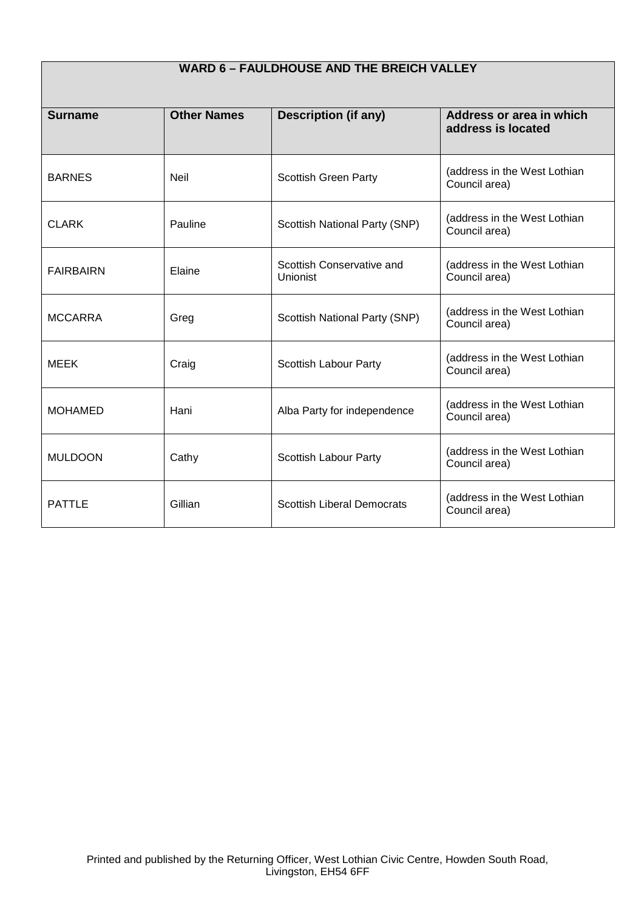| <b>WARD 6 - FAULDHOUSE AND THE BREICH VALLEY</b> |                    |                                              |                                                |
|--------------------------------------------------|--------------------|----------------------------------------------|------------------------------------------------|
| <b>Surname</b>                                   | <b>Other Names</b> | <b>Description (if any)</b>                  | Address or area in which<br>address is located |
| <b>BARNES</b>                                    | Neil               | <b>Scottish Green Party</b>                  | (address in the West Lothian<br>Council area)  |
| <b>CLARK</b>                                     | Pauline            | Scottish National Party (SNP)                | (address in the West Lothian<br>Council area)  |
| <b>FAIRBAIRN</b>                                 | Elaine             | Scottish Conservative and<br><b>Unionist</b> | (address in the West Lothian<br>Council area)  |
| <b>MCCARRA</b>                                   | Greg               | Scottish National Party (SNP)                | (address in the West Lothian<br>Council area)  |
| <b>MEEK</b>                                      | Craig              | Scottish Labour Party                        | (address in the West Lothian<br>Council area)  |
| <b>MOHAMED</b>                                   | Hani               | Alba Party for independence                  | (address in the West Lothian<br>Council area)  |
| <b>MULDOON</b>                                   | Cathy              | Scottish Labour Party                        | (address in the West Lothian<br>Council area)  |
| <b>PATTLE</b>                                    | Gillian            | <b>Scottish Liberal Democrats</b>            | (address in the West Lothian<br>Council area)  |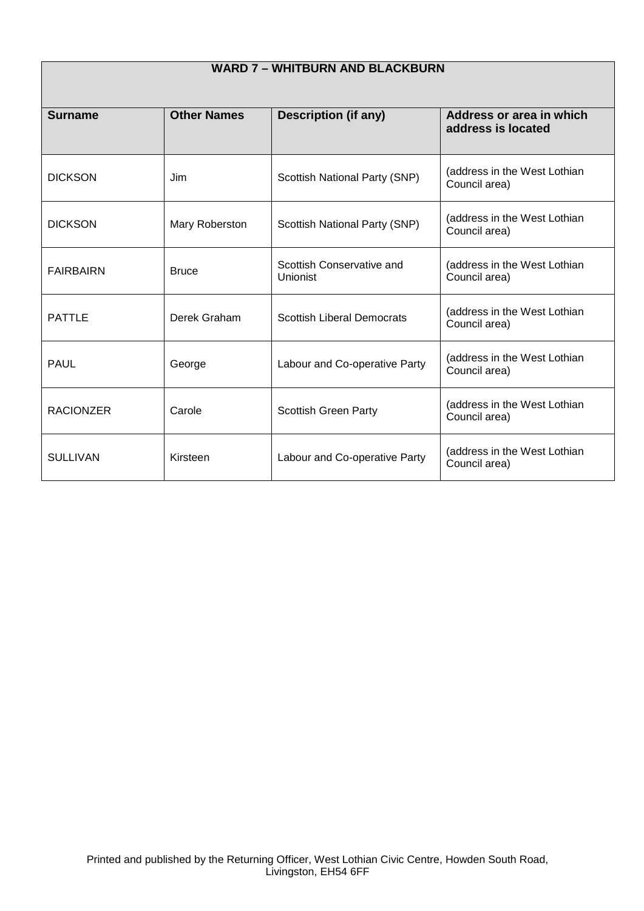| <b>WARD 7 - WHITBURN AND BLACKBURN</b> |                    |                                       |                                                |
|----------------------------------------|--------------------|---------------------------------------|------------------------------------------------|
| <b>Surname</b>                         | <b>Other Names</b> | <b>Description (if any)</b>           | Address or area in which<br>address is located |
| <b>DICKSON</b>                         | Jim                | Scottish National Party (SNP)         | (address in the West Lothian<br>Council area)  |
| <b>DICKSON</b>                         | Mary Roberston     | Scottish National Party (SNP)         | (address in the West Lothian<br>Council area)  |
| <b>FAIRBAIRN</b>                       | <b>Bruce</b>       | Scottish Conservative and<br>Unionist | (address in the West Lothian<br>Council area)  |
| <b>PATTLE</b>                          | Derek Graham       | <b>Scottish Liberal Democrats</b>     | (address in the West Lothian<br>Council area)  |
| <b>PAUL</b>                            | George             | Labour and Co-operative Party         | (address in the West Lothian<br>Council area)  |
| <b>RACIONZER</b>                       | Carole             | <b>Scottish Green Party</b>           | (address in the West Lothian<br>Council area)  |
| <b>SULLIVAN</b>                        | Kirsteen           | Labour and Co-operative Party         | (address in the West Lothian<br>Council area)  |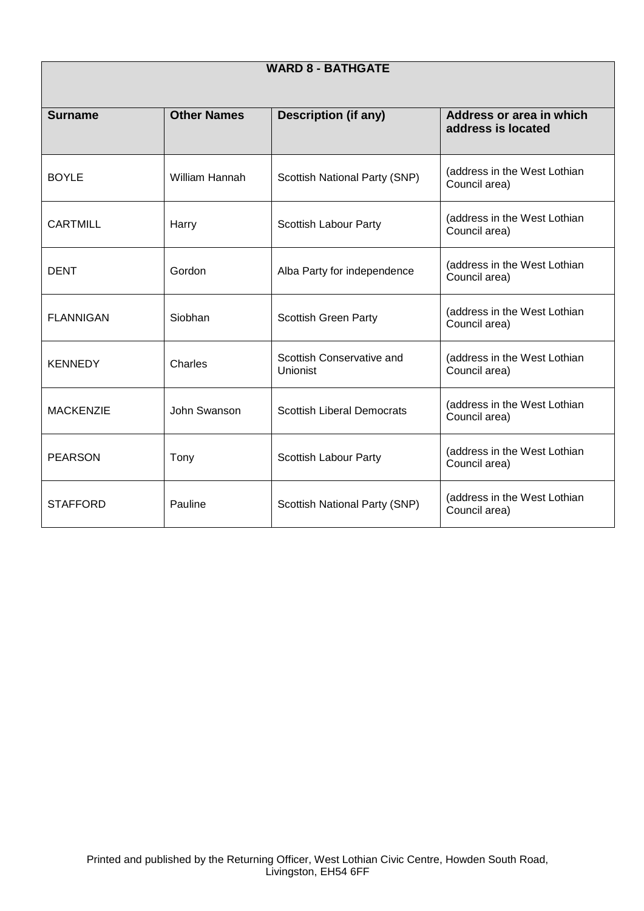| <b>WARD 8 - BATHGATE</b> |                    |                                       |                                                |
|--------------------------|--------------------|---------------------------------------|------------------------------------------------|
| <b>Surname</b>           | <b>Other Names</b> | <b>Description (if any)</b>           | Address or area in which<br>address is located |
| <b>BOYLE</b>             | William Hannah     | Scottish National Party (SNP)         | (address in the West Lothian<br>Council area)  |
| <b>CARTMILL</b>          | Harry              | Scottish Labour Party                 | (address in the West Lothian<br>Council area)  |
| <b>DENT</b>              | Gordon             | Alba Party for independence           | (address in the West Lothian<br>Council area)  |
| <b>FLANNIGAN</b>         | Siobhan            | <b>Scottish Green Party</b>           | (address in the West Lothian<br>Council area)  |
| <b>KENNEDY</b>           | Charles            | Scottish Conservative and<br>Unionist | (address in the West Lothian<br>Council area)  |
| <b>MACKENZIE</b>         | John Swanson       | <b>Scottish Liberal Democrats</b>     | (address in the West Lothian<br>Council area)  |
| <b>PEARSON</b>           | Tony               | Scottish Labour Party                 | (address in the West Lothian<br>Council area)  |
| <b>STAFFORD</b>          | Pauline            | Scottish National Party (SNP)         | (address in the West Lothian<br>Council area)  |